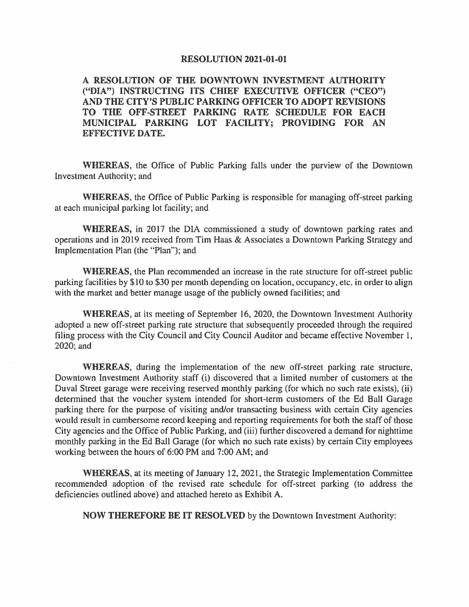## **RESOLUTION 2021-01-01**

**A RESOLUTION OF THE DOWNTOWN INVESTMENT AUTHORITY ("DIA") INSTRUCTING ITS CHIEF EXECUTIVE OFFICER ("CEO") AND THE CITY'S PUBLIC PARKING OFFICER TO ADOPT REVISIONS TO THE OFF-STREET PARKING RATE SCHEDULE FOR EACH MUNICIPAL PARKING LOT FACILITY; PROVIDING FOR AN EFFECTIVE DATE.** 

**WHEREAS,** the Office of Public Parking falls under the purview of the Downtown Investment Authority; and

**WHEREAS,** the Office of Public Parking is responsible for managing off-street parking at each municipal parking lot facility; and

**WHEREAS,** in 2017 the DIA commissioned a study of downtown parking rates and operations and in 2019 received from Tim Haas & Associates a Downtown Parking Strategy and Implementation Plan (the "Plan"); and

**WHEREAS,** the Plan recommended an increase in the rate structure for off-street public parking facilities by \$10 to \$30 per month depending on location, occupancy, etc. in order to align with the market and better manage usage of the publicly owned facilities; and

**WHEREAS,** at its meeting of September 16, 2020, the Downtown Investment Authority adopted a new off-street parking rate structure that subsequently proceeded through the required filing process with the City Council and City Council Auditor and became effective November I, 2020; and

**WHEREAS,** during the implementation of the new off-street parking rate structure, Downtown Investment Authority staff (i) discovered that a limited number of customers at the Duval Street garage were receiving reserved monthly parking (for which no such rate exists), (ii) determined that the voucher system intended for short-term customers of the Ed Ball Garage parking there for the purpose of visiting and/or transacting business with certain City agencies would result in cumbersome record keeping and reporting requirements for both the staff of those City agencies and the Office of Public Parking, and (iii) further discovered a demand for nighttime monthly parking in the Ed Ball Garage (for which no such rate exists) by certain City employees working between the hours of 6:00 PM and 7:00 AM; and

**WHEREAS,** at its meeting of January 12, 2021, the Strategic Implementation Committee recommended adoption of the revised rate schedule for off-street parking (to address the deficiencies outlined above) and attached hereto as Exhibit A.

**NOW THEREFORE BE** IT **RESOLVED** by the Downtown Investment Authority: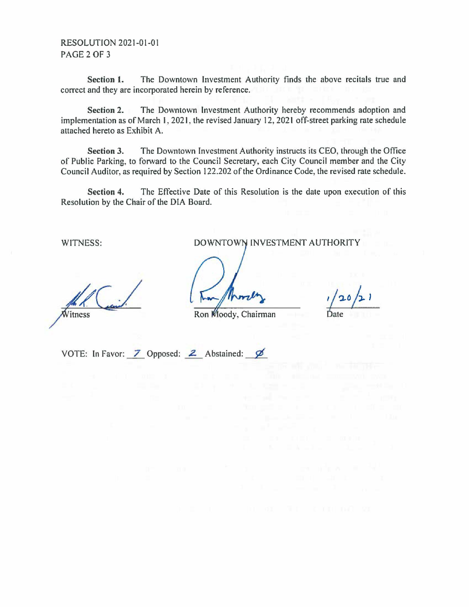RESOLUTION 2021-01-01 PAGE 2 OF 3

**Section 1.** The Downtown Investment Authority finds the above recitals true and correct and they are incorporated herein by reference.

**Section 2.** The Downtown Investment Authority hereby recommends adoption and implementation as of March 1, 2021, the revised January 12, 2021 off-street parking rate schedule attached hereto as Exhibit A.

**Section 3.** The Downtown Investment Authority instructs its CEO, through the Office of Public Parking, to forward to the Council Secretary, each City Council member and the City Council Auditor, as required by Section 122.202 of the Ordinance Code, the revised rate schedule.

**Section 4.** The Effective Date of this Resolution is the date upon execution of this Resolution by the Chair of the DIA Board.

WITNESS: DOWNTOWN INVESTMENT AUTHORITY

Ron Moody, Chairman

VOTE: In Favor:  $\overline{Z}$  Opposed:  $\overline{Z}$  Abstained:  $\overline{Z}$